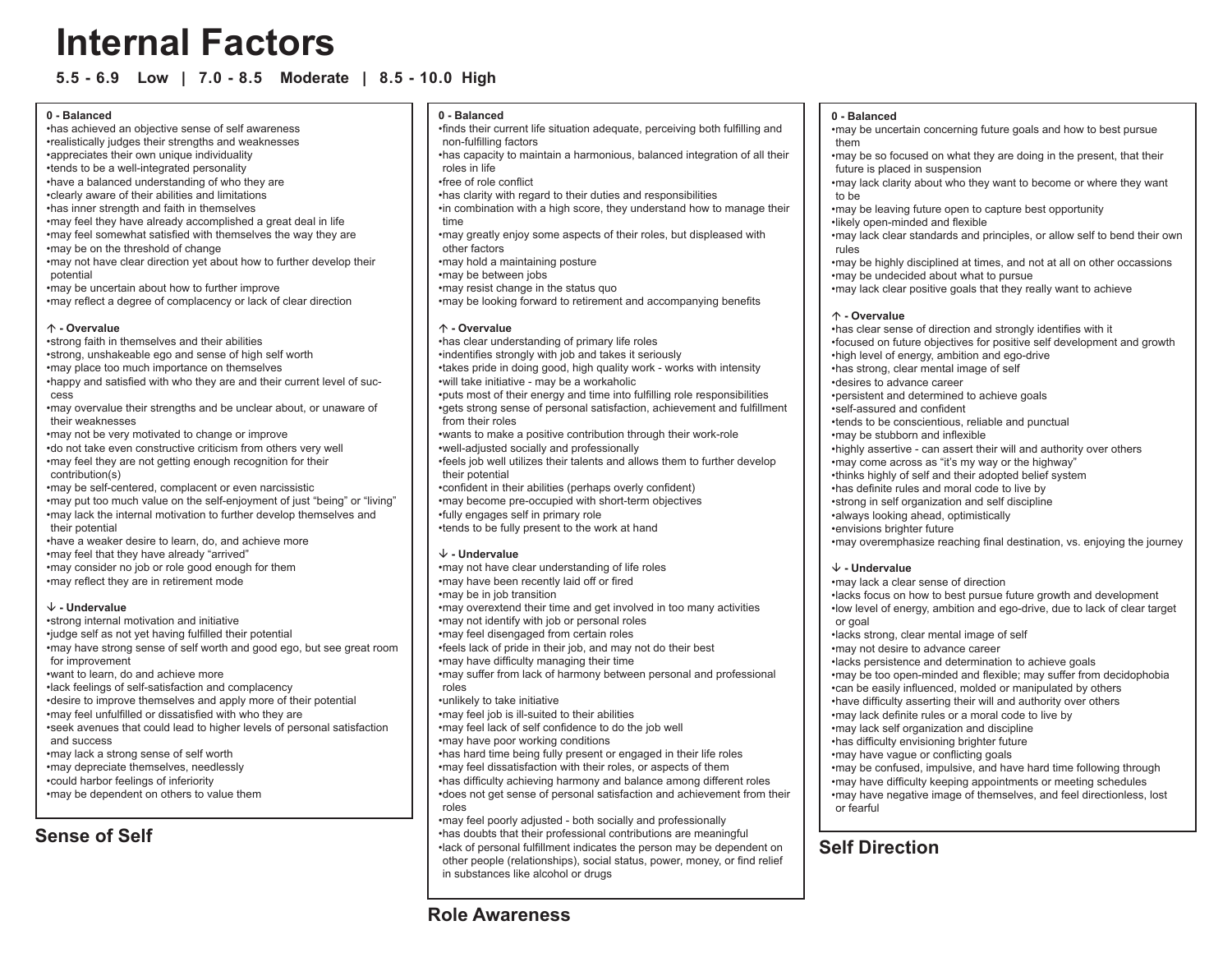# **Internal Factors**

**5.5 - 6.9 Low | 7.0 - 8.5 Moderate | 8.5 - 10.0 High**

# **0 - Balanced**

- has achieved an objective sense of self awareness realistically judges their strengths and weaknesses • appreciates their own unique individuality • tends to be a well-integrated personality • have a balanced understanding of who they are • clearly aware of their abilities and limitations • has inner strength and faith in themselves • may feel they have already accomplished a great deal in life • may feel somewhat satisfied with themselves the way they are • may be on the threshold of change •
- may not have clear direction yet about how to further develop their potential
- may be uncertain about how to further improve •
- may reflect a degree of complacency or lack of clear direction •

# · **- Overvalue**

- strong faith in themselves and their abilities •
- strong, unshakeable ego and sense of high self worth •
- may place too much importance on themselves •
- happy and satisfied with who they are and their current level of suc-• cess
- may overvalue their strengths and be unclear about, or unaware of their weaknesses
- may not be very motivated to change or improve •
- do not take even constructive criticism from others very well may feel they are not getting enough recognition for their • contribution(s)
- may be self-centered, complacent or even narcissistic •
- may put too much value on the self-enjoyment of just "being" or "living" •
- may lack the internal motivation to further develop themselves and their potential
- have a weaker desire to learn, do, and achieve more •
- may feel that they have already "arrived" •
- may consider no job or role good enough for them •
- may reflect they are in retirement mode •

# ' **- Undervalue**

- strong internal motivation and initiative judge self as not yet having fulfilled their potential • may have strong sense of self worth and good ego, but see great room • for improvement want to learn, do and achieve more • lack feelings of self-satisfaction and complacency • desire to improve themselves and apply more of their potential • may feel unfulfilled or dissatisfied with who they are • seek avenues that could lead to higher levels of personal satisfaction • and success may lack a strong sense of self worth •
- may depreciate themselves, needlessly •
- could harbor feelings of inferiority •
- may be dependent on others to value them •

# **Sense of Self**

# **0 - Balanced**

- finds their current life situation adequate, perceiving both fulfilling and non-fulfilling factors
- has capacity to maintain a harmonious, balanced integration of all their roles in life
- free of role conflict •
- has clarity with regard to their duties and responsibilities •
- in combination with a high score, they understand how to manage their time
- may greatly enjoy some aspects of their roles, but displeased with other factors
- may hold a maintaining posture •
- may be between jobs •
- may resist change in the status quo •
- may be looking forward to retirement and accompanying benefits •

# · **- Overvalue**

- has clear understanding of primary life roles indentifies strongly with job and takes it seriously • takes pride in doing good, high quality work - works with intensity •
- will take initiative may be a workaholic •
- puts most of their energy and time into fulfilling role responsibilities gets strong sense of personal satisfaction, achievement and fulfillment • from their roles
- wants to make a positive contribution through their work-role well-adjusted socially and professionally •
- feels job well utilizes their talents and allows them to further develop their potential
- confident in their abilities (perhaps overly confident) •
- may become pre-occupied with short-term objectives •
- fully engages self in primary role •
- tends to be fully present to the work at hand •

# ' **- Undervalue**

may not have clear understanding of life roles • • may have been recently laid off or fired may be in job transition • may overextend their time and get involved in too many activities • may not identify with job or personal roles • may feel disengaged from certain roles • feels lack of pride in their job, and may not do their best • • may have difficulty managing their time may suffer from lack of harmony between personal and professional • roles unlikely to take initiative • may feel job is ill-suited to their abilities • may feel lack of self confidence to do the job well • • may have poor working conditions has hard time being fully present or engaged in their life roles • may feel dissatisfaction with their roles, or aspects of them • has difficulty achieving harmony and balance among different roles • does not get sense of personal satisfaction and achievement from their • roles may feel poorly adjusted - both socially and professionally • has doubts that their professional contributions are meaningful • lack of personal fulfillment indicates the person may be dependent on • **Self Direction** other people (relationships), social status, power, money, or find relief

# **0 - Balanced**

- may be uncertain concerning future goals and how to best pursue them
- may be so focused on what they are doing in the present, that their future is placed in suspension
- may lack clarity about who they want to become or where they want to be
- may be leaving future open to capture best opportunity •
- likely open-minded and flexible •
- may lack clear standards and principles, or allow self to bend their own rules
- may be highly disciplined at times, and not at all on other occassions may be undecided about what to pursue •
- may lack clear positive goals that they really want to achieve •

# · **- Overvalue**

has clear sense of direction and strongly identifies with it • focused on future objectives for positive self development and growth • high level of energy, ambition and ego-drive • has strong, clear mental image of self • desires to advance career • persistent and determined to achieve goals • self-assured and confident • tends to be conscientious, reliable and punctual • may be stubborn and inflexible • highly assertive - can assert their will and authority over others • may come across as "it's my way or the highway" • thinks highly of self and their adopted belief system • has definite rules and moral code to live by • strong in self organization and self discipline • always looking ahead, optimistically • envisions brighter future • may overemphasize reaching final destination, vs. enjoying the journey • ' **- Undervalue** may lack a clear sense of direction • lacks focus on how to best pursue future growth and development • low level of energy, ambition and ego-drive, due to lack of clear target • or goal lacks strong, clear mental image of self • may not desire to advance career • lacks persistence and determination to achieve goals • may be too open-minded and flexible; may suffer from decidophobia • can be easily influenced, molded or manipulated by others • have difficulty asserting their will and authority over others • may lack definite rules or a moral code to live by • may lack self organization and discipline • has difficulty envisioning brighter future •

- may have vague or conflicting goals •
- may be confused, impulsive, and have hard time following through •
- may have difficulty keeping appointments or meeting schedules •
- may have negative image of themselves, and feel directionless, lost •or fearful

# **Role Awareness**

in substances like alcohol or drugs